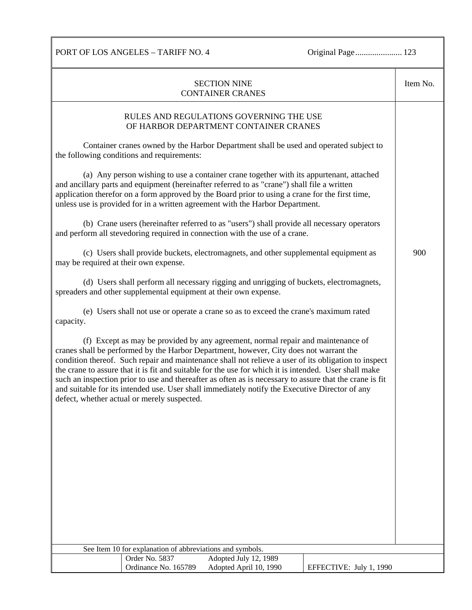PORT OF LOS ANGELES – TARIFF NO. 4 Original Page.......................... 123

| <b>SECTION NINE</b><br><b>CONTAINER CRANES</b>                                                                                                                                                                                                                                                                                                                                                                                                                                                                                                                                                                                                          |                                            |                                                                                       |                         | Item No. |  |
|---------------------------------------------------------------------------------------------------------------------------------------------------------------------------------------------------------------------------------------------------------------------------------------------------------------------------------------------------------------------------------------------------------------------------------------------------------------------------------------------------------------------------------------------------------------------------------------------------------------------------------------------------------|--------------------------------------------|---------------------------------------------------------------------------------------|-------------------------|----------|--|
|                                                                                                                                                                                                                                                                                                                                                                                                                                                                                                                                                                                                                                                         |                                            | RULES AND REGULATIONS GOVERNING THE USE<br>OF HARBOR DEPARTMENT CONTAINER CRANES      |                         |          |  |
|                                                                                                                                                                                                                                                                                                                                                                                                                                                                                                                                                                                                                                                         | the following conditions and requirements: | Container cranes owned by the Harbor Department shall be used and operated subject to |                         |          |  |
| (a) Any person wishing to use a container crane together with its appurtenant, attached<br>and ancillary parts and equipment (hereinafter referred to as "crane") shall file a written<br>application therefor on a form approved by the Board prior to using a crane for the first time,<br>unless use is provided for in a written agreement with the Harbor Department.                                                                                                                                                                                                                                                                              |                                            |                                                                                       |                         |          |  |
| (b) Crane users (hereinafter referred to as "users") shall provide all necessary operators<br>and perform all stevedoring required in connection with the use of a crane.                                                                                                                                                                                                                                                                                                                                                                                                                                                                               |                                            |                                                                                       |                         |          |  |
| (c) Users shall provide buckets, electromagnets, and other supplemental equipment as<br>may be required at their own expense.                                                                                                                                                                                                                                                                                                                                                                                                                                                                                                                           |                                            |                                                                                       | 900                     |          |  |
| (d) Users shall perform all necessary rigging and unrigging of buckets, electromagnets,<br>spreaders and other supplemental equipment at their own expense.                                                                                                                                                                                                                                                                                                                                                                                                                                                                                             |                                            |                                                                                       |                         |          |  |
| (e) Users shall not use or operate a crane so as to exceed the crane's maximum rated<br>capacity.                                                                                                                                                                                                                                                                                                                                                                                                                                                                                                                                                       |                                            |                                                                                       |                         |          |  |
| (f) Except as may be provided by any agreement, normal repair and maintenance of<br>cranes shall be performed by the Harbor Department, however, City does not warrant the<br>condition thereof. Such repair and maintenance shall not relieve a user of its obligation to inspect<br>the crane to assure that it is fit and suitable for the use for which it is intended. User shall make<br>such an inspection prior to use and thereafter as often as is necessary to assure that the crane is fit<br>and suitable for its intended use. User shall immediately notify the Executive Director of any<br>defect, whether actual or merely suspected. |                                            |                                                                                       |                         |          |  |
|                                                                                                                                                                                                                                                                                                                                                                                                                                                                                                                                                                                                                                                         |                                            |                                                                                       |                         |          |  |
|                                                                                                                                                                                                                                                                                                                                                                                                                                                                                                                                                                                                                                                         |                                            |                                                                                       |                         |          |  |
|                                                                                                                                                                                                                                                                                                                                                                                                                                                                                                                                                                                                                                                         |                                            |                                                                                       |                         |          |  |
|                                                                                                                                                                                                                                                                                                                                                                                                                                                                                                                                                                                                                                                         |                                            |                                                                                       |                         |          |  |
|                                                                                                                                                                                                                                                                                                                                                                                                                                                                                                                                                                                                                                                         |                                            |                                                                                       |                         |          |  |
| See Item 10 for explanation of abbreviations and symbols.                                                                                                                                                                                                                                                                                                                                                                                                                                                                                                                                                                                               |                                            |                                                                                       |                         |          |  |
|                                                                                                                                                                                                                                                                                                                                                                                                                                                                                                                                                                                                                                                         | Order No. 5837                             | Adopted July 12, 1989                                                                 |                         |          |  |
|                                                                                                                                                                                                                                                                                                                                                                                                                                                                                                                                                                                                                                                         | Ordinance No. 165789                       | Adopted April 10, 1990                                                                | EFFECTIVE: July 1, 1990 |          |  |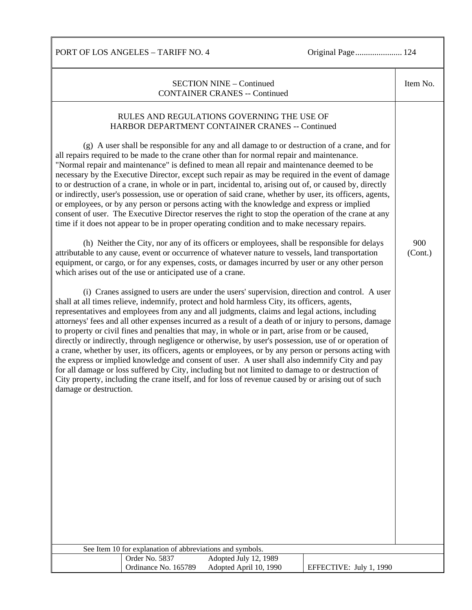PORT OF LOS ANGELES – TARIFF NO. 4 Original Page...................... 124

| <b>SECTION NINE - Continued</b><br><b>CONTAINER CRANES -- Continued</b>                                                                                                                                                                                                                                                                                                                                                                                                                                                                                                                                                                                                                                                                                                                                                                                                                                                                                                                                                                                              |                                                 |                         |                |
|----------------------------------------------------------------------------------------------------------------------------------------------------------------------------------------------------------------------------------------------------------------------------------------------------------------------------------------------------------------------------------------------------------------------------------------------------------------------------------------------------------------------------------------------------------------------------------------------------------------------------------------------------------------------------------------------------------------------------------------------------------------------------------------------------------------------------------------------------------------------------------------------------------------------------------------------------------------------------------------------------------------------------------------------------------------------|-------------------------------------------------|-------------------------|----------------|
| RULES AND REGULATIONS GOVERNING THE USE OF<br>HARBOR DEPARTMENT CONTAINER CRANES -- Continued                                                                                                                                                                                                                                                                                                                                                                                                                                                                                                                                                                                                                                                                                                                                                                                                                                                                                                                                                                        |                                                 |                         |                |
| (g) A user shall be responsible for any and all damage to or destruction of a crane, and for<br>all repairs required to be made to the crane other than for normal repair and maintenance.<br>"Normal repair and maintenance" is defined to mean all repair and maintenance deemed to be<br>necessary by the Executive Director, except such repair as may be required in the event of damage<br>to or destruction of a crane, in whole or in part, incidental to, arising out of, or caused by, directly<br>or indirectly, user's possession, use or operation of said crane, whether by user, its officers, agents,<br>or employees, or by any person or persons acting with the knowledge and express or implied<br>consent of user. The Executive Director reserves the right to stop the operation of the crane at any<br>time if it does not appear to be in proper operating condition and to make necessary repairs.                                                                                                                                         |                                                 |                         |                |
| (h) Neither the City, nor any of its officers or employees, shall be responsible for delays<br>attributable to any cause, event or occurrence of whatever nature to vessels, land transportation<br>equipment, or cargo, or for any expenses, costs, or damages incurred by user or any other person<br>which arises out of the use or anticipated use of a crane.                                                                                                                                                                                                                                                                                                                                                                                                                                                                                                                                                                                                                                                                                                   |                                                 |                         | 900<br>(Cont.) |
| (i) Cranes assigned to users are under the users' supervision, direction and control. A user<br>shall at all times relieve, indemnify, protect and hold harmless City, its officers, agents,<br>representatives and employees from any and all judgments, claims and legal actions, including<br>attorneys' fees and all other expenses incurred as a result of a death of or injury to persons, damage<br>to property or civil fines and penalties that may, in whole or in part, arise from or be caused,<br>directly or indirectly, through negligence or otherwise, by user's possession, use of or operation of<br>a crane, whether by user, its officers, agents or employees, or by any person or persons acting with<br>the express or implied knowledge and consent of user. A user shall also indemnify City and pay<br>for all damage or loss suffered by City, including but not limited to damage to or destruction of<br>City property, including the crane itself, and for loss of revenue caused by or arising out of such<br>damage or destruction. |                                                 |                         |                |
|                                                                                                                                                                                                                                                                                                                                                                                                                                                                                                                                                                                                                                                                                                                                                                                                                                                                                                                                                                                                                                                                      |                                                 |                         |                |
|                                                                                                                                                                                                                                                                                                                                                                                                                                                                                                                                                                                                                                                                                                                                                                                                                                                                                                                                                                                                                                                                      |                                                 |                         |                |
|                                                                                                                                                                                                                                                                                                                                                                                                                                                                                                                                                                                                                                                                                                                                                                                                                                                                                                                                                                                                                                                                      |                                                 |                         |                |
| See Item 10 for explanation of abbreviations and symbols.                                                                                                                                                                                                                                                                                                                                                                                                                                                                                                                                                                                                                                                                                                                                                                                                                                                                                                                                                                                                            |                                                 |                         |                |
| Order No. 5837<br>Ordinance No. 165789                                                                                                                                                                                                                                                                                                                                                                                                                                                                                                                                                                                                                                                                                                                                                                                                                                                                                                                                                                                                                               | Adopted July 12, 1989<br>Adopted April 10, 1990 | EFFECTIVE: July 1, 1990 |                |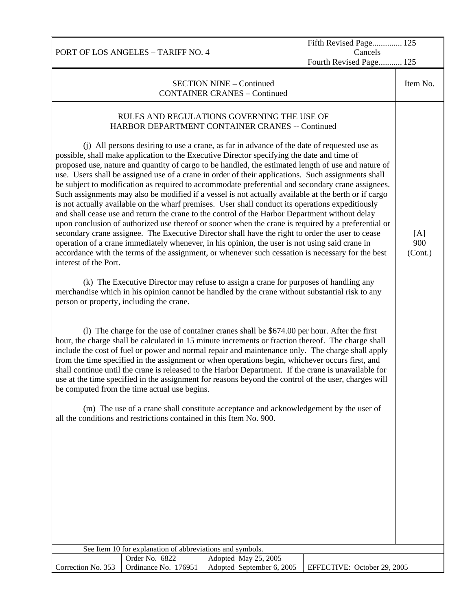Fifth Revised Page.............. 125 Cancels

Fourth Revised Page........... 125

SECTION NINE – Continued CONTAINER CRANES – Continued Item No. RULES AND REGULATIONS GOVERNING THE USE OF HARBOR DEPARTMENT CONTAINER CRANES -- Continued (j) All persons desiring to use a crane, as far in advance of the date of requested use as possible, shall make application to the Executive Director specifying the date and time of proposed use, nature and quantity of cargo to be handled, the estimated length of use and nature of use. Users shall be assigned use of a crane in order of their applications. Such assignments shall be subject to modification as required to accommodate preferential and secondary crane assignees. Such assignments may also be modified if a vessel is not actually available at the berth or if cargo is not actually available on the wharf premises. User shall conduct its operations expeditiously and shall cease use and return the crane to the control of the Harbor Department without delay upon conclusion of authorized use thereof or sooner when the crane is required by a preferential or secondary crane assignee. The Executive Director shall have the right to order the user to cease operation of a crane immediately whenever, in his opinion, the user is not using said crane in accordance with the terms of the assignment, or whenever such cessation is necessary for the best interest of the Port. (k) The Executive Director may refuse to assign a crane for purposes of handling any merchandise which in his opinion cannot be handled by the crane without substantial risk to any person or property, including the crane. (l) The charge for the use of container cranes shall be \$674.00 per hour. After the first hour, the charge shall be calculated in 15 minute increments or fraction thereof. The charge shall include the cost of fuel or power and normal repair and maintenance only. The charge shall apply from the time specified in the assignment or when operations begin, whichever occurs first, and shall continue until the crane is released to the Harbor Department. If the crane is unavailable for use at the time specified in the assignment for reasons beyond the control of the user, charges will be computed from the time actual use begins. (m) The use of a crane shall constitute acceptance and acknowledgement by the user of all the conditions and restrictions contained in this Item No. 900. [A] 900 (Cont.) See Item 10 for explanation of abbreviations and symbols. Correction No. 353 Order No. 6822 Adopted May 25, 2005 Ordinance No. 176951 Adopted September 6, 2005 EFFECTIVE: October 29, 2005

PORT OF LOS ANGELES – TARIFF NO. 4